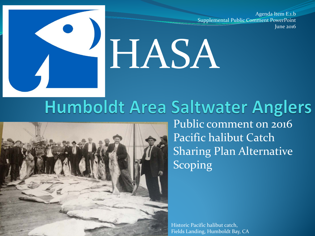Agenda Item E.1.b Supplemental Public Comment PowerPoint June 2016

# HASA

### **Humboldt Area Saltwater Anglers**



Public comment on 2016 Pacific halibut Catch Sharing Plan Alternative Scoping

Historic Pacific halibut catch, Fields Landing, Humboldt Bay, CA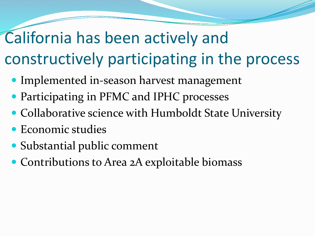# California has been actively and constructively participating in the process

- Implemented in-season harvest management
- Participating in PFMC and IPHC processes
- Collaborative science with Humboldt State University
- Economic studies
- Substantial public comment
- Contributions to Area 2A exploitable biomass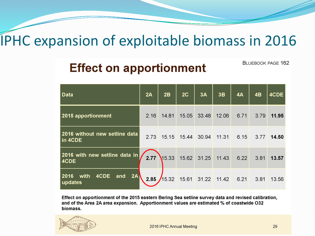#### **IPHC expansion of exploitable biomass in 2016**

#### **Effect on apportionment**

**BLUEBOOK PAGE 162** 

| <b>Data</b>                                  | 2A   | 2B                                | 2C    | 3A                         | 3B    | 4A   | 4B   | 4CDE  |
|----------------------------------------------|------|-----------------------------------|-------|----------------------------|-------|------|------|-------|
| 2015 apportionment                           | 2.16 | 14.81                             | 15.05 | 33.48                      | 12.06 | 6.71 | 3.79 | 11.95 |
| 2016 without new setline data<br>in 4CDE     | 2.73 |                                   |       | 15.15  15.44  30.94  11.31 |       | 6.15 | 3.77 | 14.50 |
| 2016 with new setline data in<br>4CDE        |      | 2.77 15.33 15.62 31.25 11.43      |       |                            |       | 6.22 | 3.81 | 13.57 |
| 2A<br>4CDE<br>and<br>with<br>2016<br>updates |      | 2.85 15.32 15.61 31.22 11.42 6.21 |       |                            |       |      | 3.81 | 13.56 |

Effect on apportionment of the 2015 eastern Bering Sea setline survey data and revised calibration, and of the Area 2A area expansion. Apportionment values are estimated % of coastwide O32 biomass.



2016 IPHC Annual Meeting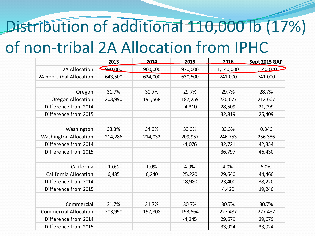# Distribution of additional 110,000 lb (17%) of non-tribal 2A Allocation from IPHC

|                              | 2013    | 2014    | 2015     | 2016      | Sept 2015 GAP |
|------------------------------|---------|---------|----------|-----------|---------------|
| 2A Allocation                | 990,000 | 960,000 | 970,000  | 1,140,000 | 1,140,000     |
| 2A non-tribal Allocation     | 643,500 | 624,000 | 630,500  | 741,000   | 741,000       |
|                              |         |         |          |           |               |
| Oregon                       | 31.7%   | 30.7%   | 29.7%    | 29.7%     | 28.7%         |
| <b>Oregon Allocation</b>     | 203,990 | 191,568 | 187,259  | 220,077   | 212,667       |
| Difference from 2014         |         |         | $-4,310$ | 28,509    | 21,099        |
| Difference from 2015         |         |         |          | 32,819    | 25,409        |
|                              |         |         |          |           |               |
| Washington                   | 33.3%   | 34.3%   | 33.3%    | 33.3%     | 0.346         |
| <b>Washington Allocation</b> | 214,286 | 214,032 | 209,957  | 246,753   | 256,386       |
| Difference from 2014         |         |         | $-4,076$ | 32,721    | 42,354        |
| Difference from 2015         |         |         |          | 36,797    | 46,430        |
|                              |         |         |          |           |               |
| California                   | 1.0%    | 1.0%    | 4.0%     | 4.0%      | 6.0%          |
| <b>California Allocation</b> | 6,435   | 6,240   | 25,220   | 29,640    | 44,460        |
| Difference from 2014         |         |         | 18,980   | 23,400    | 38,220        |
| Difference from 2015         |         |         |          | 4,420     | 19,240        |
|                              |         |         |          |           |               |
| Commercial                   | 31.7%   | 31.7%   | 30.7%    | 30.7%     | 30.7%         |
| <b>Commercial Allocation</b> | 203,990 | 197,808 | 193,564  | 227,487   | 227,487       |
| Difference from 2014         |         |         | $-4,245$ | 29,679    | 29,679        |
| Difference from 2015         |         |         |          | 33,924    | 33,924        |